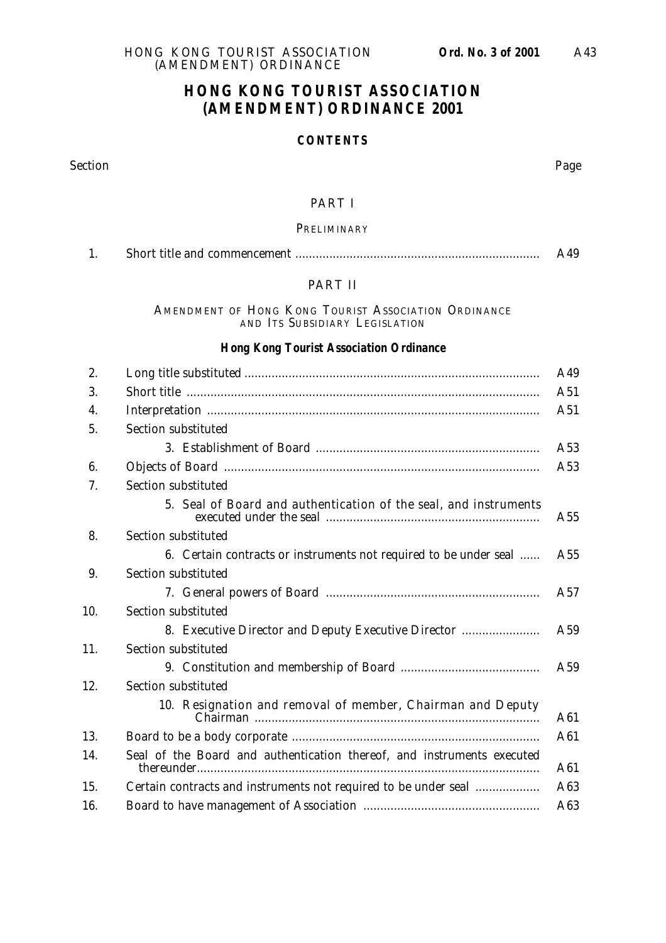## **HONG KONG TOURIST ASSOCIATION (AMENDMENT) ORDINANCE 2001**

#### **CONTENTS**

Section Page

#### PART I

#### PRELIMINARY

| . . | A49 |
|-----|-----|
|-----|-----|

#### PART II

AMENDMENT OF HONG KONG TOURIST ASSOCIATION ORDINANCE AND ITS SUBSIDIARY LEGISLATION

#### **Hong Kong Tourist Association Ordinance**

| 2.  |                                                                        | A49 |
|-----|------------------------------------------------------------------------|-----|
| 3.  |                                                                        | A51 |
| 4.  |                                                                        | A51 |
| 5.  | Section substituted                                                    |     |
|     |                                                                        | A53 |
| 6.  |                                                                        | A53 |
| 7.  | Section substituted                                                    |     |
|     | 5. Seal of Board and authentication of the seal, and instruments       | A55 |
| 8.  | Section substituted                                                    |     |
|     | 6. Certain contracts or instruments not required to be under seal      | A55 |
| 9.  | Section substituted                                                    |     |
|     |                                                                        | A57 |
| 10. | Section substituted                                                    |     |
|     | 8. Executive Director and Deputy Executive Director                    | A59 |
| 11. | Section substituted                                                    |     |
|     |                                                                        | A59 |
| 12. | Section substituted                                                    |     |
|     | 10. Resignation and removal of member, Chairman and Deputy             | A61 |
| 13. |                                                                        | A61 |
| 14. | Seal of the Board and authentication thereof, and instruments executed | A61 |
| 15. | Certain contracts and instruments not required to be under seal        | A63 |
| 16. |                                                                        | A63 |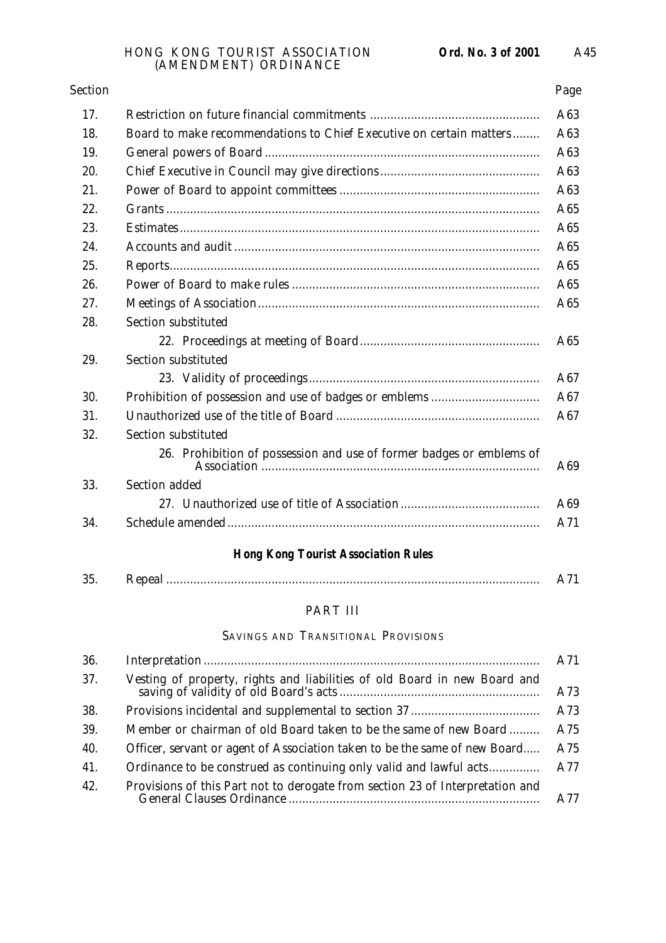| <b>Section</b> |                                                                      | Page |
|----------------|----------------------------------------------------------------------|------|
| 17.            |                                                                      | A63  |
| 18.            | Board to make recommendations to Chief Executive on certain matters  | A63  |
| 19.            |                                                                      | A63  |
| 20.            |                                                                      | A63  |
| 21.            |                                                                      | A63  |
| 22.            |                                                                      | A65  |
| 23.            |                                                                      | A65  |
| 24.            |                                                                      | A65  |
| 25.            |                                                                      | A65  |
| 26.            |                                                                      | A65  |
| 27.            |                                                                      | A65  |
| 28.            | Section substituted                                                  |      |
|                |                                                                      | A65  |
| 29.            | Section substituted                                                  |      |
|                |                                                                      | A67  |
| 30.            |                                                                      | A67  |
| 31.            |                                                                      | A67  |
| 32.            | Section substituted                                                  |      |
|                | 26. Prohibition of possession and use of former badges or emblems of | A69  |
| 33.            | Section added                                                        |      |
|                |                                                                      | A69  |
| 34.            |                                                                      | A71  |
|                |                                                                      |      |

## **Hong Kong Tourist Association Rules**

| りに<br>JJ. |  |
|-----------|--|
|           |  |

# PART III

## SAVINGS AND TRANSITIONAL PROVISIONS

| 36. |                                                                               | A71 |
|-----|-------------------------------------------------------------------------------|-----|
| 37. |                                                                               | A73 |
| 38. |                                                                               | A73 |
| 39. | Member or chairman of old Board taken to be the same of new Board             | A75 |
| 40. | Officer, servant or agent of Association taken to be the same of new Board    | A75 |
| 41. | Ordinance to be construed as continuing only valid and lawful acts            | A77 |
| 42. | Provisions of this Part not to derogate from section 23 of Interpretation and | A77 |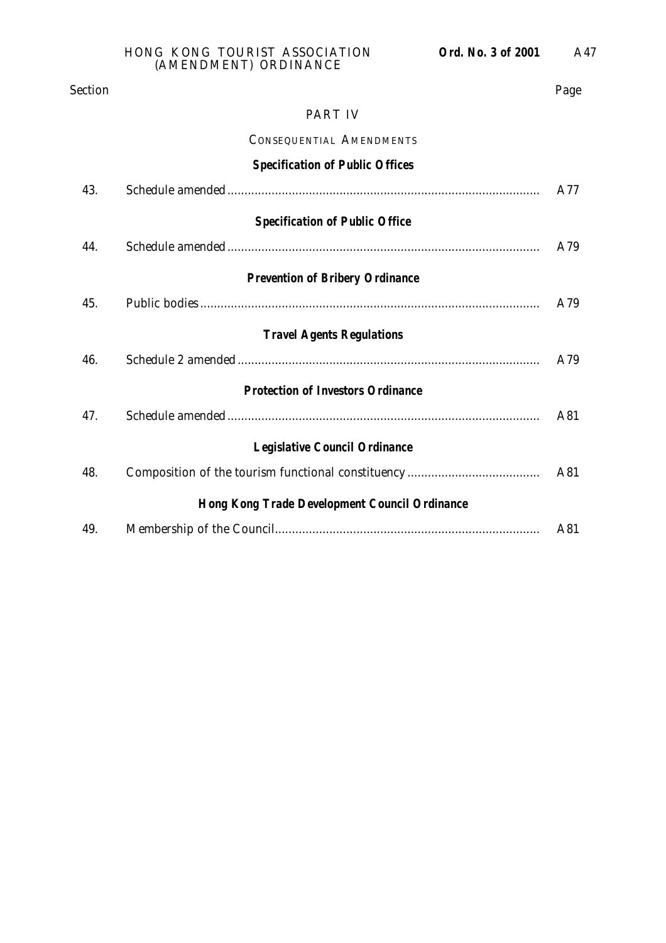#### PART IV

#### CONSEQUENTIAL AMENDMENTS

|                                                      | <b>Specification of Public Offices</b>   |     |  |
|------------------------------------------------------|------------------------------------------|-----|--|
| 43.                                                  |                                          | A77 |  |
|                                                      | <b>Specification of Public Office</b>    |     |  |
| 44.                                                  |                                          | A79 |  |
|                                                      | <b>Prevention of Bribery Ordinance</b>   |     |  |
| 45.                                                  |                                          | A79 |  |
|                                                      | <b>Travel Agents Regulations</b>         |     |  |
| 46.                                                  |                                          | A79 |  |
|                                                      | <b>Protection of Investors Ordinance</b> |     |  |
| 47.                                                  |                                          | A81 |  |
|                                                      | <b>Legislative Council Ordinance</b>     |     |  |
| 48.                                                  |                                          | A81 |  |
| <b>Hong Kong Trade Development Council Ordinance</b> |                                          |     |  |
| 49.                                                  |                                          | A81 |  |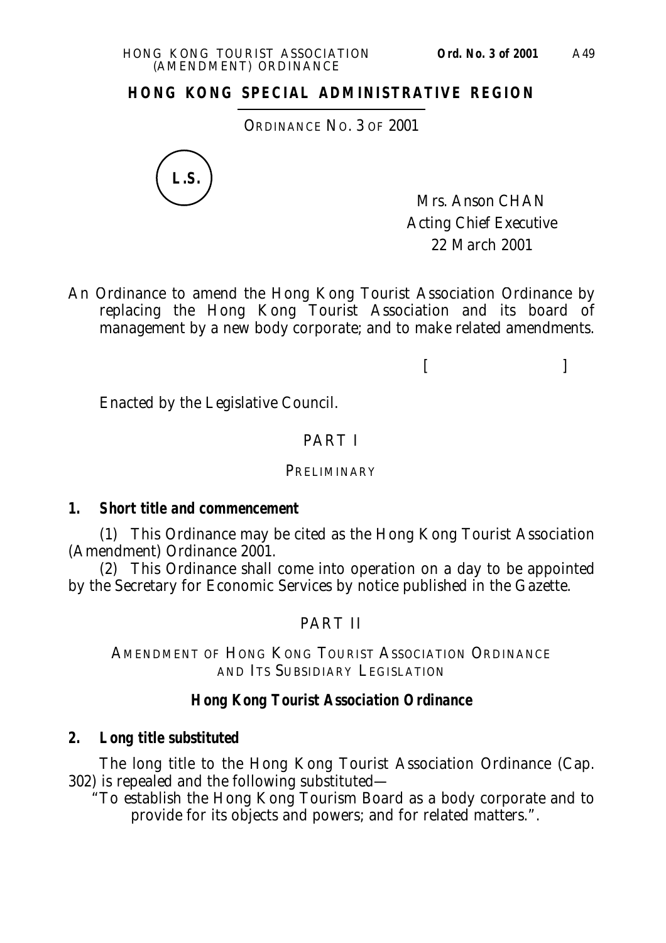ORDINANCE NO. 3 OF 2001



Mrs. Anson CHAN Acting Chief Executive 22 March 2001

An Ordinance to amend the Hong Kong Tourist Association Ordinance by replacing the Hong Kong Tourist Association and its board of management by a new body corporate; and to make related amendments.

 $[$ 

Enacted by the Legislative Council.

## PART I

#### **PRELIMINARY**

### **1. Short title and commencement**

(1) This Ordinance may be cited as the Hong Kong Tourist Association (Amendment) Ordinance 2001.

(2) This Ordinance shall come into operation on a day to be appointed by the Secretary for Economic Services by notice published in the Gazette.

# PART II

AMENDMENT OF HONG KONG TOURIST ASSOCIATION ORDINANCE AND ITS SUBSIDIARY LEGISLATION

## **Hong Kong Tourist Association Ordinance**

### **2. Long title substituted**

The long title to the Hong Kong Tourist Association Ordinance (Cap. 302) is repealed and the following substituted—

"To establish the Hong Kong Tourism Board as a body corporate and to provide for its objects and powers; and for related matters.".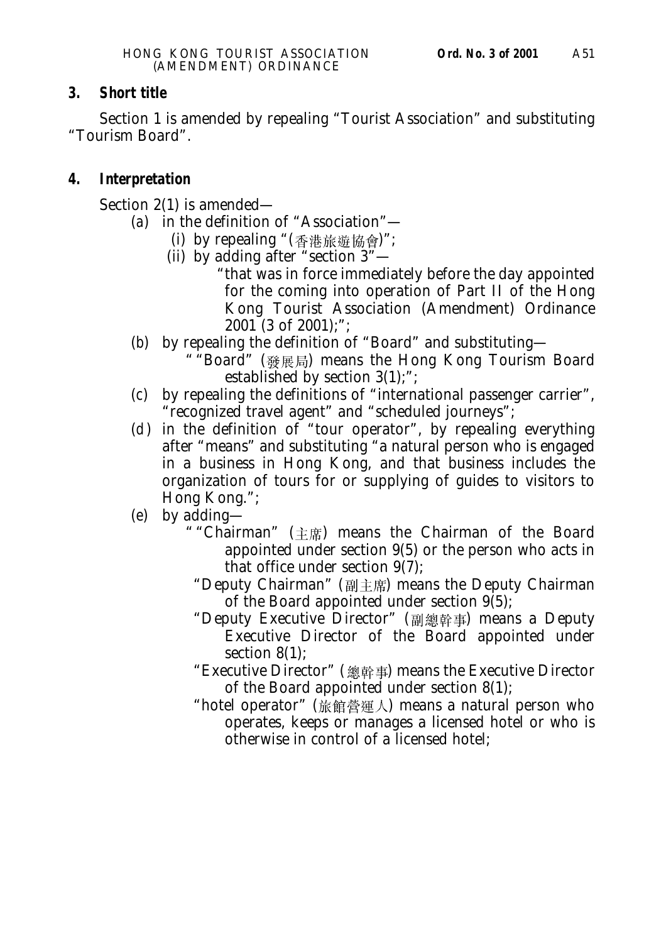## **3. Short title**

Section 1 is amended by repealing "Tourist Association" and substituting "Tourism Board".

## **4. Interpretation**

Section 2(1) is amended—

- (*a*) in the definition of "Association"—
	- (i) by repealing " $($ 香港旅遊協會 $)$ ";
	- (ii) by adding after "section 3"—
		- "that was in force immediately before the day appointed for the coming into operation of Part II of the Hong Kong Tourist Association (Amendment) Ordinance  $2001$  (3 of 2001);";
- (*b*) by repealing the definition of "Board" and substituting—
	- " "Board" (發展局) means the Hong Kong Tourism Board established by section 3(1);";
- (*c*) by repealing the definitions of "international passenger carrier", "recognized travel agent" and "scheduled journeys";
- $(d)$  in the definition of "tour operator", by repealing everything after "means" and substituting "a natural person who is engaged in a business in Hong Kong, and that business includes the organization of tours for or supplying of guides to visitors to Hong Kong.";
- (*e*) by adding—
	- " "Chairman" (主席) means the Chairman of the Board appointed under section 9(5) or the person who acts in that office under section 9(7);
		- "Deputy Chairman" (副主席) means the Deputy Chairman of the Board appointed under section 9(5);
		- "Deputy Executive Director" (副總幹事) means a Deputy Executive Director of the Board appointed under section 8(1);
		- "Executive Director" (總幹事) means the Executive Director of the Board appointed under section 8(1);
		- "hotel operator" (旅館營運人) means a natural person who operates, keeps or manages a licensed hotel or who is otherwise in control of a licensed hotel;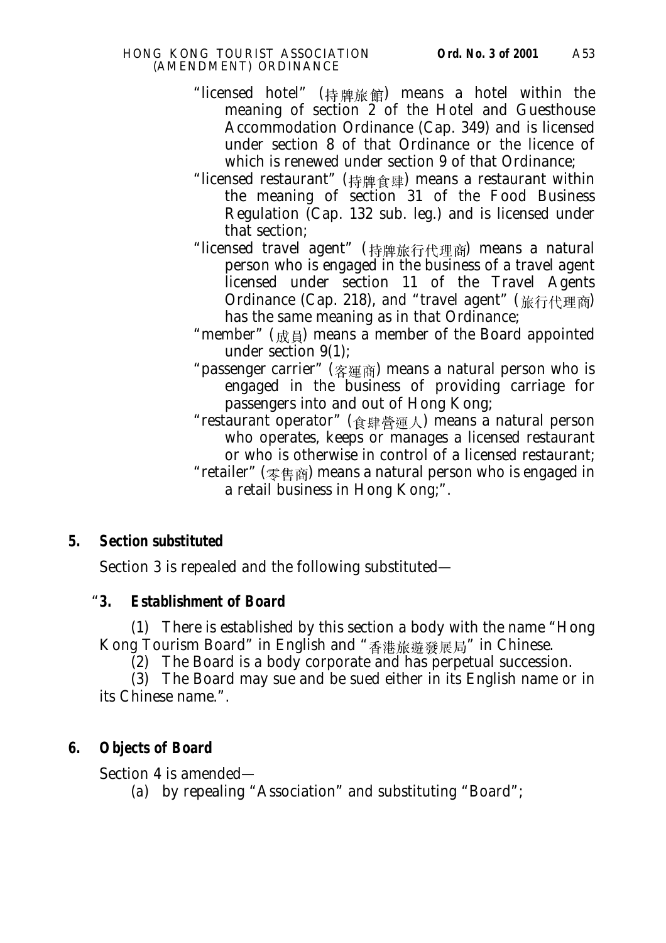- "licensed hotel" (持牌旅館) means a hotel within the meaning of section 2 of the Hotel and Guesthouse Accommodation Ordinance (Cap. 349) and is licensed under section 8 of that Ordinance or the licence of which is renewed under section 9 of that Ordinance;
- "licensed restaurant" (持牌食肆) means a restaurant within the meaning of section 31 of the Food Business Regulation (Cap. 132 sub. leg.) and is licensed under that section;
- "licensed travel agent" (持牌旅行代理商) means a natural person who is engaged in the business of a travel agent licensed under section 11 of the Travel Agents Ordinance (Cap. 218), and "travel agent" (旅行代理商) has the same meaning as in that Ordinance;
- "member" ( $\oplus$   $\oplus$ ) means a member of the Board appointed under section 9(1);
- "passenger carrier" (客運商) means a natural person who is engaged in the business of providing carriage for passengers into and out of Hong Kong;
- "restaurant operator" (食肆營運人) means a natural person who operates, keeps or manages a licensed restaurant or who is otherwise in control of a licensed restaurant; "retailer" ( $\frac{1}{2}$ #  $\frac{1}{2}$ ) means a natural person who is engaged in a retail business in Hong Kong;".

Section 3 is repealed and the following substituted—

# "**3. Establishment of Board**

(1) There is established by this section a body with the name "Hong Kong Tourism Board" in English and "香港旅遊發展局" in Chinese.

(2) The Board is a body corporate and has perpetual succession.

(3) The Board may sue and be sued either in its English name or in its Chinese name.".

# **6. Objects of Board**

Section 4 is amended—

(*a*) by repealing "Association" and substituting "Board";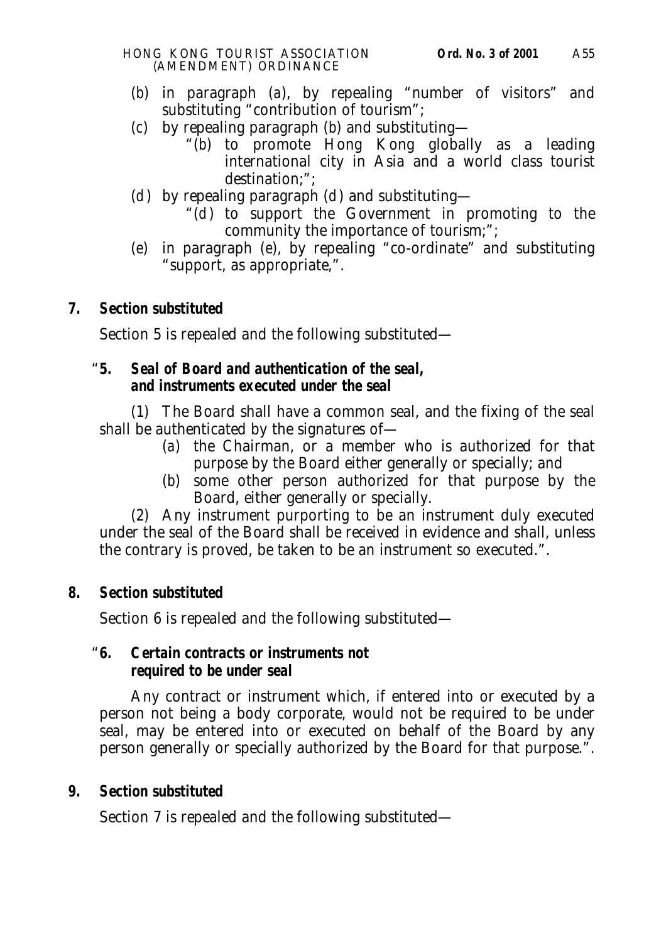- (*b*) in paragraph (*a*), by repealing "number of visitors" and substituting "contribution of tourism";
- (*c*) by repealing paragraph (*b*) and substituting—
	- "(*b*) to promote Hong Kong globally as a leading international city in Asia and a world class tourist destination;";
- ( $d$ ) by repealing paragraph ( $d$ ) and substituting—
	- " $(d)$  to support the Government in promoting to the community the importance of tourism;";
- (*e*) in paragraph (*e*), by repealing "co-ordinate" and substituting "support, as appropriate,".

Section 5 is repealed and the following substituted—

## "**5. Seal of Board and authentication of the seal, and instruments executed under the seal**

(1) The Board shall have a common seal, and the fixing of the seal shall be authenticated by the signatures of—

- (*a*) the Chairman, or a member who is authorized for that purpose by the Board either generally or specially; and
- (*b*) some other person authorized for that purpose by the Board, either generally or specially.

(2) Any instrument purporting to be an instrument duly executed under the seal of the Board shall be received in evidence and shall, unless the contrary is proved, be taken to be an instrument so executed.".

# **8. Section substituted**

Section 6 is repealed and the following substituted—

## "**6. Certain contracts or instruments not required to be under seal**

Any contract or instrument which, if entered into or executed by a person not being a body corporate, would not be required to be under seal, may be entered into or executed on behalf of the Board by any person generally or specially authorized by the Board for that purpose.".

# **9. Section substituted**

Section 7 is repealed and the following substituted—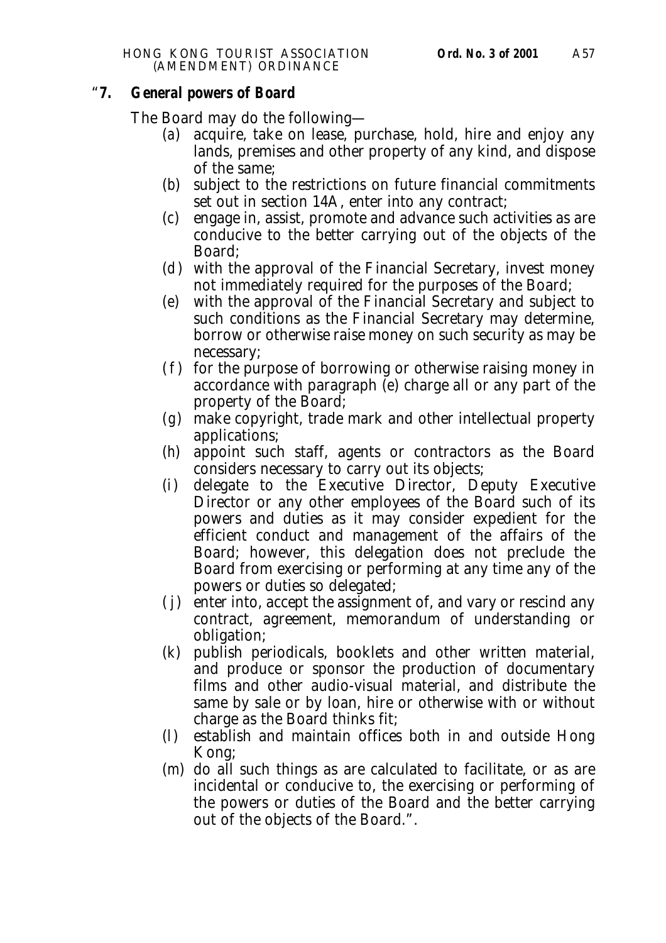#### "**7. General powers of Board**

The Board may do the following—

- (*a*) acquire, take on lease, purchase, hold, hire and enjoy any lands, premises and other property of any kind, and dispose of the same;
- (*b*) subject to the restrictions on future financial commitments set out in section 14A, enter into any contract;
- (*c*) engage in, assist, promote and advance such activities as are conducive to the better carrying out of the objects of the Board;
- (*d*) with the approval of the Financial Secretary, invest money not immediately required for the purposes of the Board;
- (*e*) with the approval of the Financial Secretary and subject to such conditions as the Financial Secretary may determine, borrow or otherwise raise money on such security as may be necessary;
- (*f*) for the purpose of borrowing or otherwise raising money in accordance with paragraph (*e*) charge all or any part of the property of the Board;
- (*g*) make copyright, trade mark and other intellectual property applications;
- (*h*) appoint such staff, agents or contractors as the Board considers necessary to carry out its objects;
- (*i*) delegate to the Executive Director, Deputy Executive Director or any other employees of the Board such of its powers and duties as it may consider expedient for the efficient conduct and management of the affairs of the Board; however, this delegation does not preclude the Board from exercising or performing at any time any of the powers or duties so delegated;
- ( *j*) enter into, accept the assignment of, and vary or rescind any contract, agreement, memorandum of understanding or obligation;
- (*k*) publish periodicals, booklets and other written material, and produce or sponsor the production of documentary films and other audio-visual material, and distribute the same by sale or by loan, hire or otherwise with or without charge as the Board thinks fit;
- (*l*) establish and maintain offices both in and outside Hong Kong;
- (*m*) do all such things as are calculated to facilitate, or as are incidental or conducive to, the exercising or performing of the powers or duties of the Board and the better carrying out of the objects of the Board.".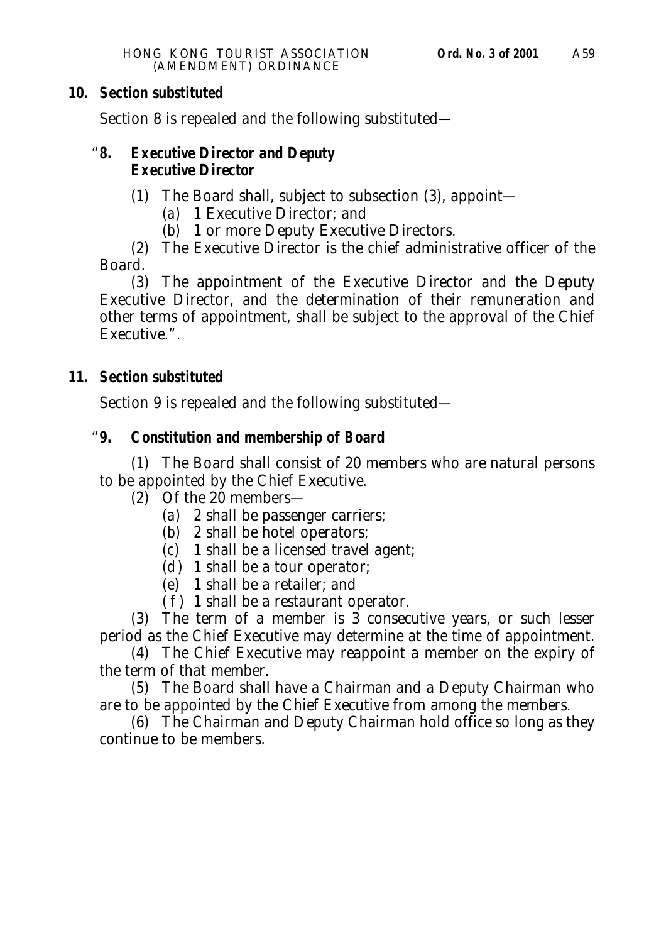Section 8 is repealed and the following substituted—

#### "**8. Executive Director and Deputy Executive Director**

- (1) The Board shall, subject to subsection (3), appoint—
	- (*a*) 1 Executive Director; and
	- (*b*) 1 or more Deputy Executive Directors.

(2) The Executive Director is the chief administrative officer of the Board.

(3) The appointment of the Executive Director and the Deputy Executive Director, and the determination of their remuneration and other terms of appointment, shall be subject to the approval of the Chief Executive.".

## **11. Section substituted**

Section 9 is repealed and the following substituted—

# "**9. Constitution and membership of Board**

(1) The Board shall consist of 20 members who are natural persons to be appointed by the Chief Executive.

- (2) Of the 20 members—
	- (*a*) 2 shall be passenger carriers;
	- (*b*) 2 shall be hotel operators;
	- (*c*) 1 shall be a licensed travel agent;
	- $(d)$  1 shall be a tour operator;
	- (*e*) 1 shall be a retailer; and
	- $(f)$  1 shall be a restaurant operator.

(3) The term of a member is  $\overline{3}$  consecutive years, or such lesser period as the Chief Executive may determine at the time of appointment.

(4) The Chief Executive may reappoint a member on the expiry of the term of that member.

(5) The Board shall have a Chairman and a Deputy Chairman who are to be appointed by the Chief Executive from among the members.

(6) The Chairman and Deputy Chairman hold office so long as they continue to be members.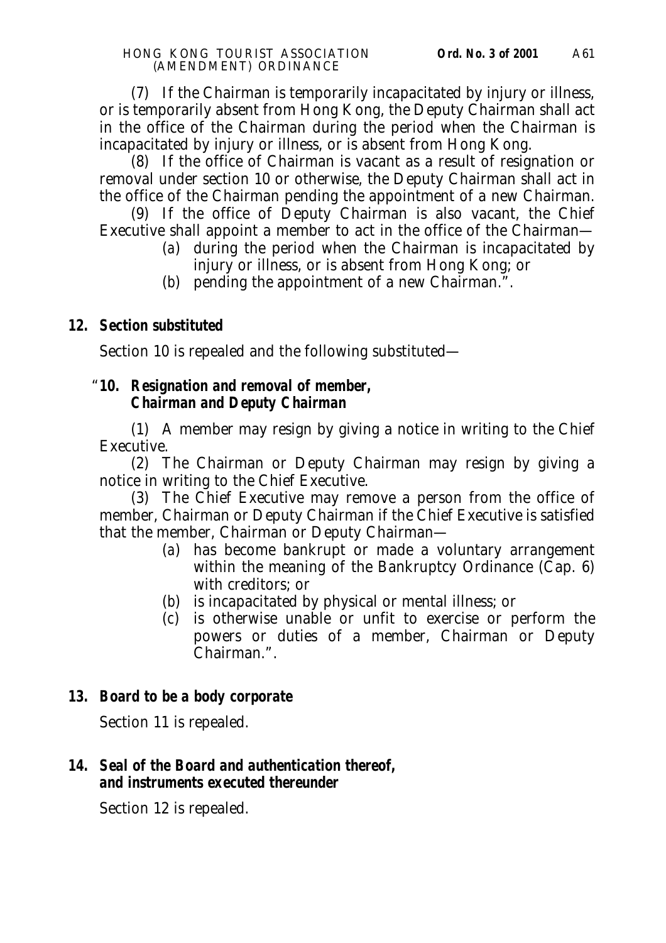(7) If the Chairman is temporarily incapacitated by injury or illness, or is temporarily absent from Hong Kong, the Deputy Chairman shall act in the office of the Chairman during the period when the Chairman is incapacitated by injury or illness, or is absent from Hong Kong.

(8) If the office of Chairman is vacant as a result of resignation or removal under section 10 or otherwise, the Deputy Chairman shall act in the office of the Chairman pending the appointment of a new Chairman.

(9) If the office of Deputy Chairman is also vacant, the Chief Executive shall appoint a member to act in the office of the Chairman—

- (*a*) during the period when the Chairman is incapacitated by injury or illness, or is absent from Hong Kong; or
- (*b*) pending the appointment of a new Chairman.".

## **12. Section substituted**

Section 10 is repealed and the following substituted—

## "**10. Resignation and removal of member, Chairman and Deputy Chairman**

(1) A member may resign by giving a notice in writing to the Chief Executive.

(2) The Chairman or Deputy Chairman may resign by giving a notice in writing to the Chief Executive.

(3) The Chief Executive may remove a person from the office of member, Chairman or Deputy Chairman if the Chief Executive is satisfied that the member, Chairman or Deputy Chairman—

- (*a*) has become bankrupt or made a voluntary arrangement within the meaning of the Bankruptcy Ordinance (Cap. 6) with creditors; or
- (*b*) is incapacitated by physical or mental illness; or
- (*c*) is otherwise unable or unfit to exercise or perform the powers or duties of a member, Chairman or Deputy Chairman.".

### **13. Board to be a body corporate**

Section 11 is repealed.

## **14. Seal of the Board and authentication thereof, and instruments executed thereunder**

Section 12 is repealed.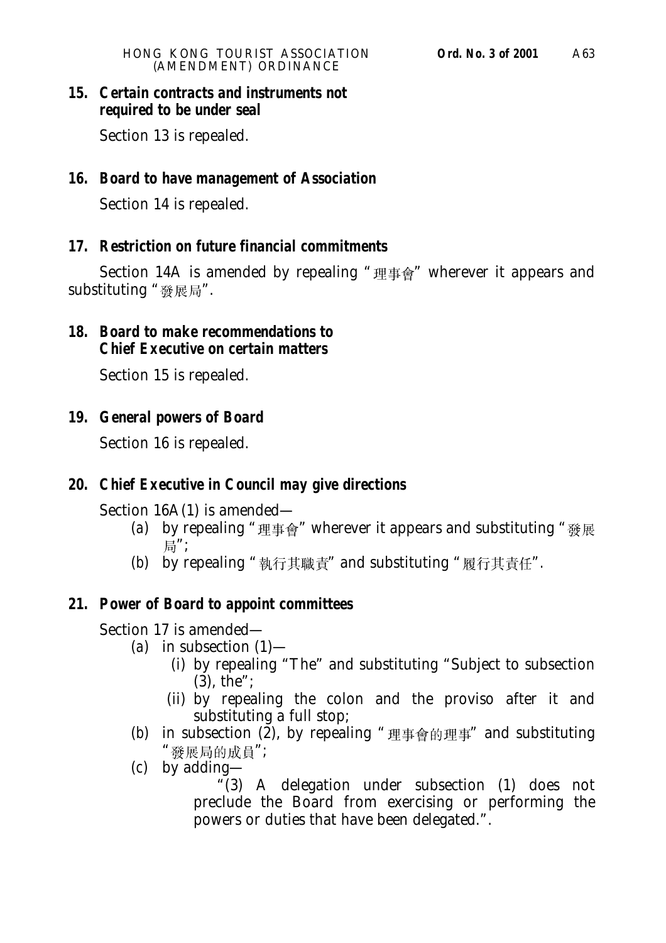## **15. Certain contracts and instruments not required to be under seal**

Section 13 is repealed.

## **16. Board to have management of Association**

Section 14 is repealed.

## **17. Restriction on future financial commitments**

Section 14A is amended by repealing "理事會" wherever it appears and substituting "發展局".

## **18. Board to make recommendations to Chief Executive on certain matters**

Section 15 is repealed.

## **19. General powers of Board**

Section 16 is repealed.

### **20. Chief Executive in Council may give directions**

Section 16A(1) is amended—

- (*a*) by repealing "理事會" wherever it appears and substituting "發展 局":
- (b) by repealing "執行其職責" and substituting "履行其責任".

## **21. Power of Board to appoint committees**

Section 17 is amended—

- (*a*) in subsection (1)—
	- (i) by repealing "The" and substituting "Subject to subsection (3), the";
	- (ii) by repealing the colon and the proviso after it and substituting a full stop;
	- (b) in subsection  $(\overline{2})$ , by repealing "理事會的理事" and substituting "發展局的成員";
	- (*c*) by adding—

 $(3)$  A delegation under subsection  $(1)$  does not preclude the Board from exercising or performing the powers or duties that have been delegated.".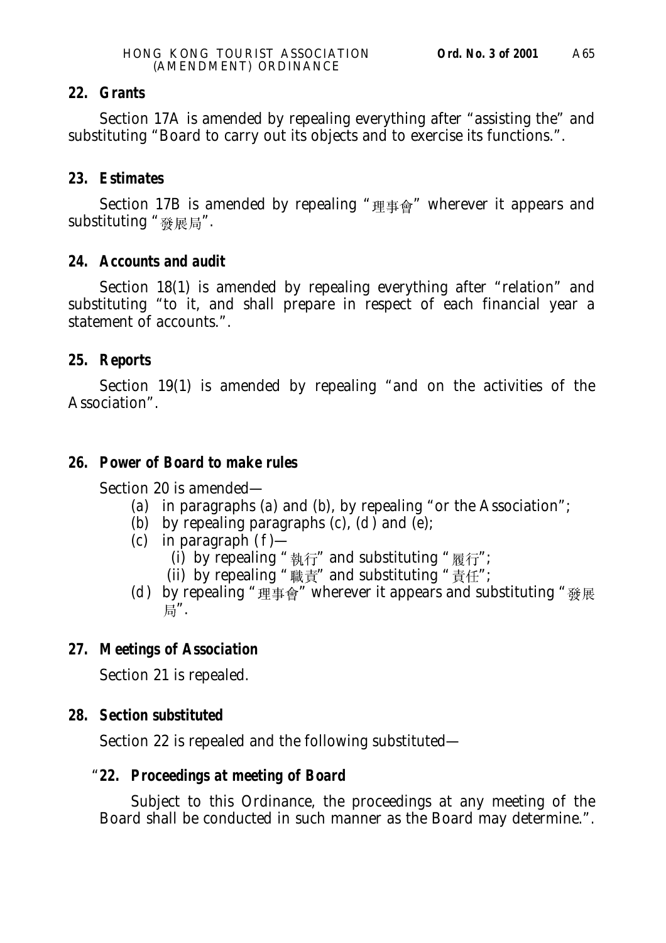## **22. Grants**

Section 17A is amended by repealing everything after "assisting the" and substituting "Board to carry out its objects and to exercise its functions.".

## **23. Estimates**

Section 17B is amended by repealing "理事會" wherever it appears and substituting "發展局".

## **24. Accounts and audit**

Section 18(1) is amended by repealing everything after "relation" and substituting "to it, and shall prepare in respect of each financial year a statement of accounts.".

## **25. Reports**

Section 19(1) is amended by repealing "and on the activities of the Association".

## **26. Power of Board to make rules**

Section 20 is amended—

- (*a*) in paragraphs (*a*) and (*b*), by repealing "or the Association";
- (*b*) by repealing paragraphs  $(c)$ ,  $(d)$  and  $(e)$ ;
- (*c*) in paragraph (*f*)—
	- (i) by repealing "執行" and substituting "履行";
	- (ii) by repealing "職責" and substituting "責任";
- (*d*) by repealing " $\overline{\mathbb{H}}$   $\overline{\mathbb{F}}$   $\oplus$  " wherever it appears and substituting " $\mathbb{G}$   $\mathbb{R}$ 局".

# **27. Meetings of Association**

Section 21 is repealed.

# **28. Section substituted**

Section 22 is repealed and the following substituted—

# "**22. Proceedings at meeting of Board**

Subject to this Ordinance, the proceedings at any meeting of the Board shall be conducted in such manner as the Board may determine.".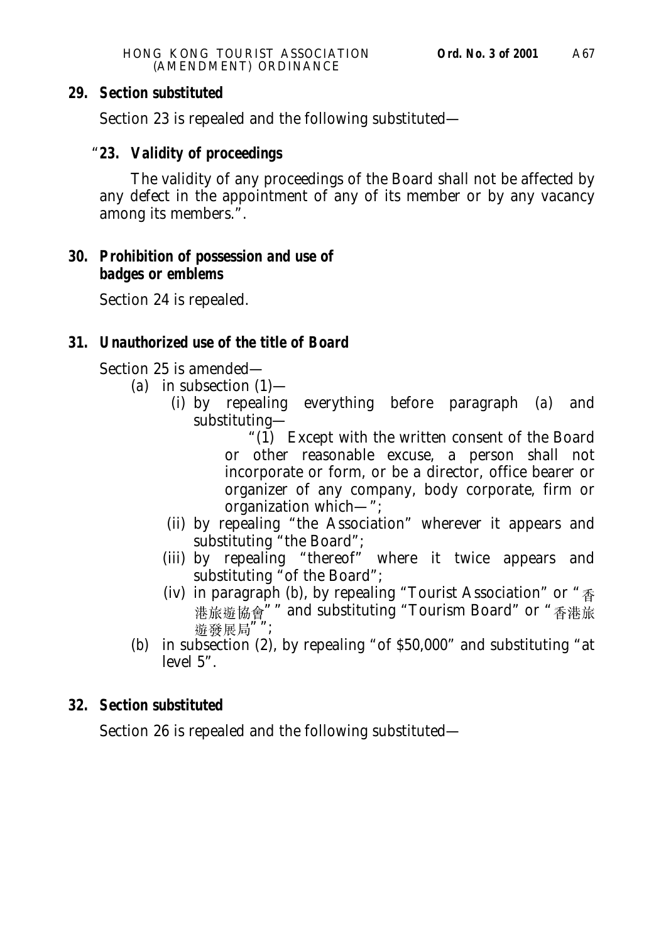Section 23 is repealed and the following substituted—

## "**23. Validity of proceedings**

The validity of any proceedings of the Board shall not be affected by any defect in the appointment of any of its member or by any vacancy among its members.".

## **30. Prohibition of possession and use of badges or emblems**

Section 24 is repealed.

## **31. Unauthorized use of the title of Board**

Section 25 is amended—

- (*a*) in subsection (1)—
	- (i) by repealing everything before paragraph (*a*) and substituting—
		- "(1) Except with the written consent of the Board or other reasonable excuse, a person shall not incorporate or form, or be a director, office bearer or organizer of any company, body corporate, firm or organization which—";
	- (ii) by repealing "the Association" wherever it appears and substituting "the Board";
	- (iii) by repealing "thereof" where it twice appears and substituting "of the Board";
	- (iv) in paragraph (b), by repealing "Tourist Association" or " $\frac{1}{12}$ 港旅遊協會"" and substituting "Tourism Board" or "香港旅 遊發展局"";
- (*b*) in subsection (2), by repealing "of \$50,000" and substituting "at level 5".

## **32. Section substituted**

Section 26 is repealed and the following substituted—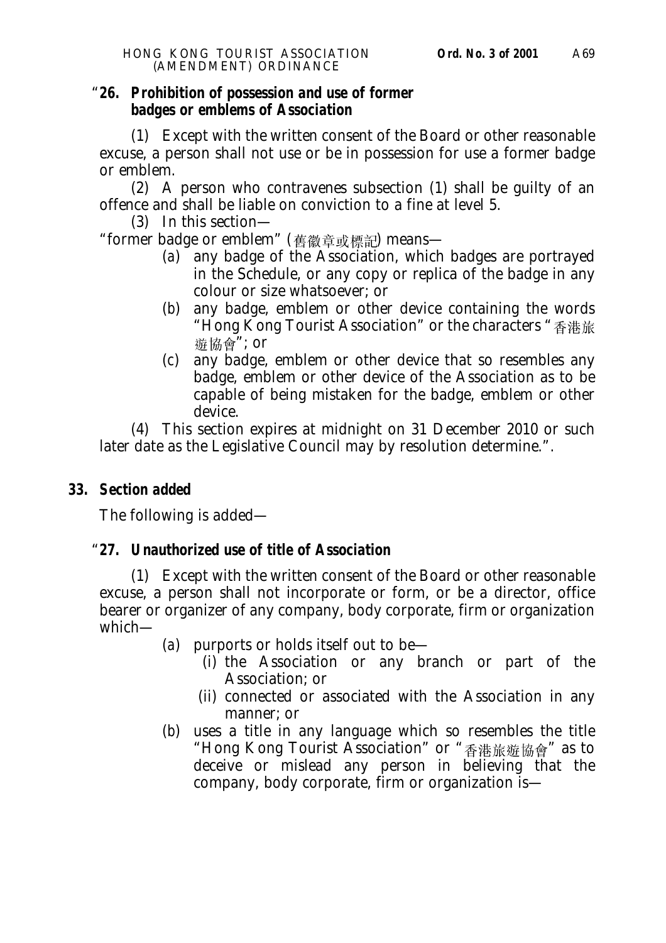#### "**26. Prohibition of possession and use of former badges or emblems of Association**

(1) Except with the written consent of the Board or other reasonable excuse, a person shall not use or be in possession for use a former badge or emblem.

(2) A person who contravenes subsection (1) shall be guilty of an offence and shall be liable on conviction to a fine at level 5.

(3) In this section—

"former badge or emblem" (舊徽章或標記) means—

- (*a*) any badge of the Association, which badges are portrayed in the Schedule, or any copy or replica of the badge in any colour or size whatsoever; or
- (*b*) any badge, emblem or other device containing the words "Hong Kong Tourist Association" or the characters "香港旅 遊協會"; or
- (*c*) any badge, emblem or other device that so resembles any badge, emblem or other device of the Association as to be capable of being mistaken for the badge, emblem or other device.

(4) This section expires at midnight on 31 December 2010 or such later date as the Legislative Council may by resolution determine.".

## **33. Section added**

The following is added—

## "**27. Unauthorized use of title of Association**

(1) Except with the written consent of the Board or other reasonable excuse, a person shall not incorporate or form, or be a director, office bearer or organizer of any company, body corporate, firm or organization which—

(*a*) purports or holds itself out to be—

- (i) the Association or any branch or part of the Association; or
- (ii) connected or associated with the Association in any manner; or
- (*b*) uses a title in any language which so resembles the title "Hong Kong Tourist Association" or "香港旅遊協會" as to deceive or mislead any person in believing that the company, body corporate, firm or organization is—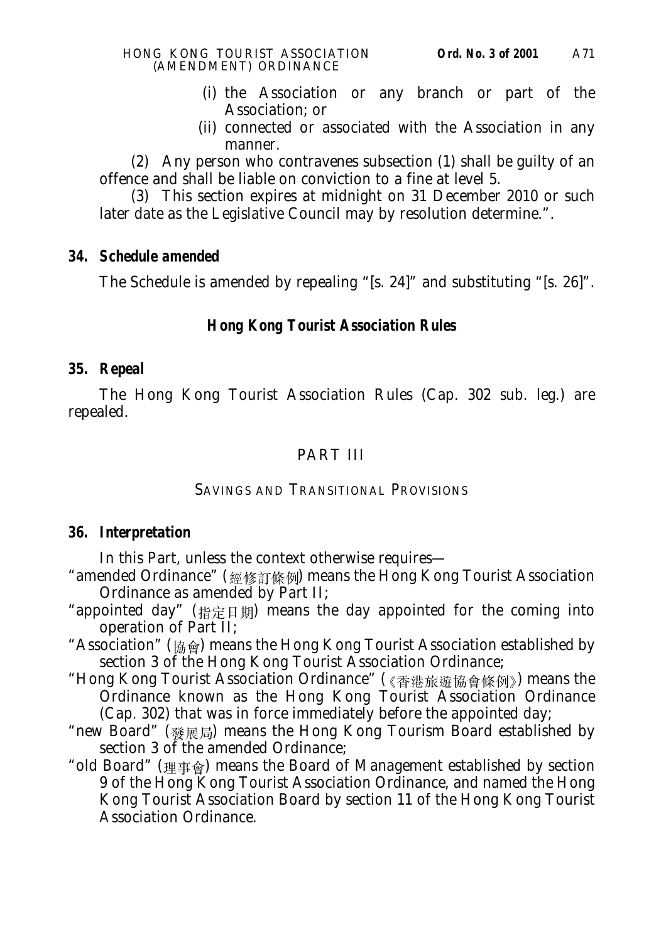- (i) the Association or any branch or part of the Association; or
- (ii) connected or associated with the Association in any manner.

(2) Any person who contravenes subsection (1) shall be guilty of an offence and shall be liable on conviction to a fine at level 5.

(3) This section expires at midnight on 31 December 2010 or such later date as the Legislative Council may by resolution determine.".

## **34. Schedule amended**

The Schedule is amended by repealing "[s. 24]" and substituting "[s. 26]".

## **Hong Kong Tourist Association Rules**

### **35. Repeal**

The Hong Kong Tourist Association Rules (Cap. 302 sub. leg.) are repealed.

# PART III

### SAVINGS AND TRANSITIONAL PROVISIONS

### **36. Interpretation**

In this Part, unless the context otherwise requires—

- "amended Ordinance" (經修訂條例) means the Hong Kong Tourist Association Ordinance as amended by Part II;
- "appointed day" (指定日期) means the day appointed for the coming into operation of Part II;
- "Association" ( $\sin \theta$ ) means the Hong Kong Tourist Association established by section 3 of the Hong Kong Tourist Association Ordinance;
- "Hong Kong Tourist Association Ordinance" (《香港旅游協會條例》) means the Ordinance known as the Hong Kong Tourist Association Ordinance (Cap. 302) that was in force immediately before the appointed day;
- "new Board" (發展局) means the Hong Kong Tourism Board established by section 3 of the amended Ordinance:
- "old Board" (理事會) means the Board of Management established by section 9 of the Hong Kong Tourist Association Ordinance, and named the Hong Kong Tourist Association Board by section 11 of the Hong Kong Tourist Association Ordinance.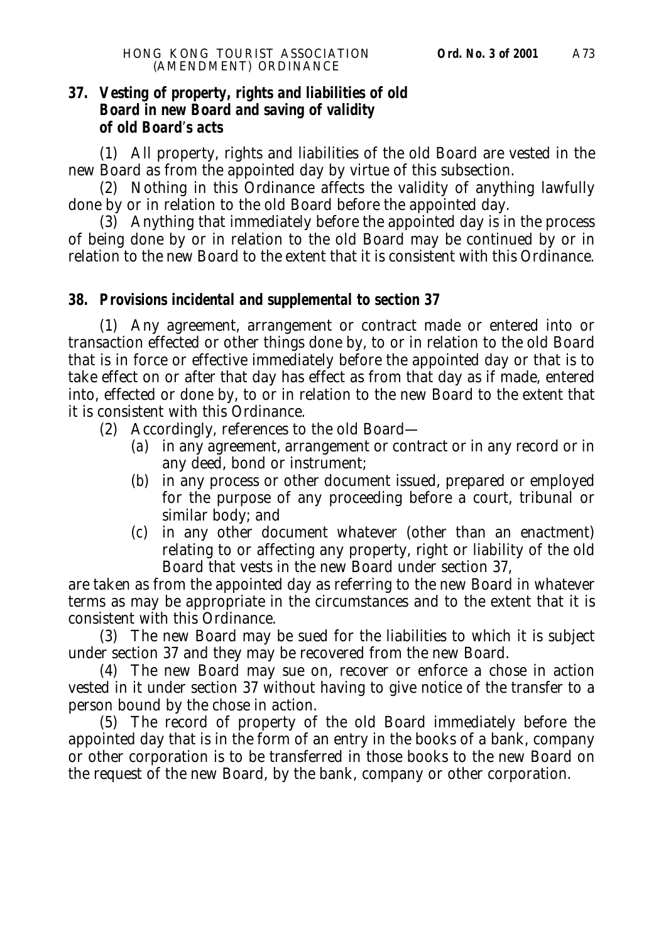## **37. Vesting of property, rights and liabilities of old Board in new Board and saving of validity of old Board**'**s acts**

(1) All property, rights and liabilities of the old Board are vested in the new Board as from the appointed day by virtue of this subsection.

(2) Nothing in this Ordinance affects the validity of anything lawfully done by or in relation to the old Board before the appointed day.

(3) Anything that immediately before the appointed day is in the process of being done by or in relation to the old Board may be continued by or in relation to the new Board to the extent that it is consistent with this Ordinance.

#### **38. Provisions incidental and supplemental to section 37**

(1) Any agreement, arrangement or contract made or entered into or transaction effected or other things done by, to or in relation to the old Board that is in force or effective immediately before the appointed day or that is to take effect on or after that day has effect as from that day as if made, entered into, effected or done by, to or in relation to the new Board to the extent that it is consistent with this Ordinance.

- (2) Accordingly, references to the old Board—
	- (*a*) in any agreement, arrangement or contract or in any record or in any deed, bond or instrument;
	- (*b*) in any process or other document issued, prepared or employed for the purpose of any proceeding before a court, tribunal or similar body; and
	- (*c*) in any other document whatever (other than an enactment) relating to or affecting any property, right or liability of the old Board that vests in the new Board under section 37,

are taken as from the appointed day as referring to the new Board in whatever terms as may be appropriate in the circumstances and to the extent that it is consistent with this Ordinance.

(3) The new Board may be sued for the liabilities to which it is subject under section 37 and they may be recovered from the new Board.

(4) The new Board may sue on, recover or enforce a chose in action vested in it under section 37 without having to give notice of the transfer to a person bound by the chose in action.

(5) The record of property of the old Board immediately before the appointed day that is in the form of an entry in the books of a bank, company or other corporation is to be transferred in those books to the new Board on the request of the new Board, by the bank, company or other corporation.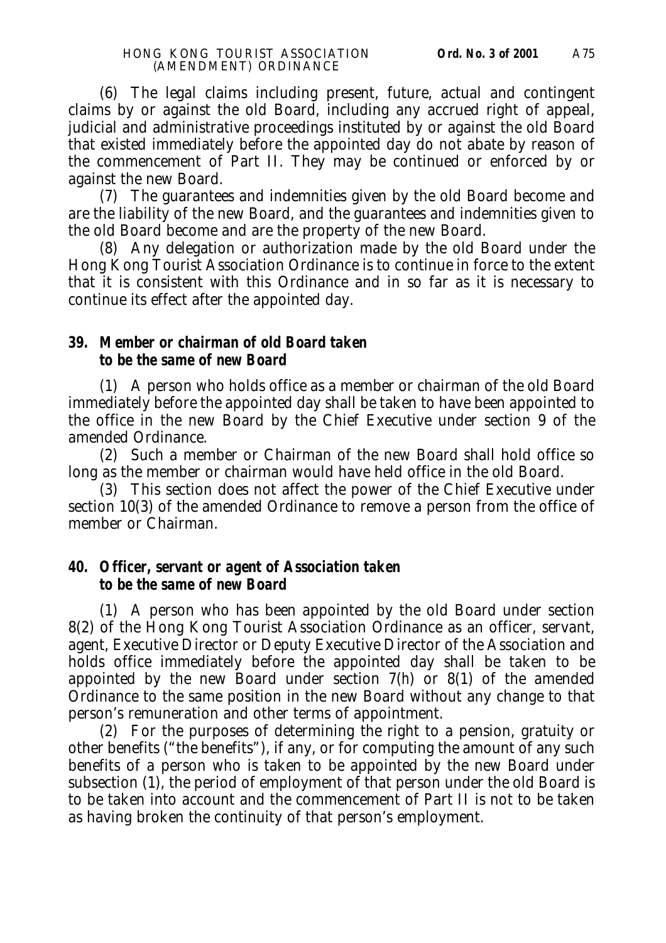(6) The legal claims including present, future, actual and contingent claims by or against the old Board, including any accrued right of appeal, judicial and administrative proceedings instituted by or against the old Board that existed immediately before the appointed day do not abate by reason of the commencement of Part II. They may be continued or enforced by or against the new Board.

(7) The guarantees and indemnities given by the old Board become and are the liability of the new Board, and the guarantees and indemnities given to the old Board become and are the property of the new Board.

(8) Any delegation or authorization made by the old Board under the Hong Kong Tourist Association Ordinance is to continue in force to the extent that it is consistent with this Ordinance and in so far as it is necessary to continue its effect after the appointed day.

#### **39. Member or chairman of old Board taken to be the same of new Board**

(1) A person who holds office as a member or chairman of the old Board immediately before the appointed day shall be taken to have been appointed to the office in the new Board by the Chief Executive under section 9 of the amended Ordinance.

(2) Such a member or Chairman of the new Board shall hold office so long as the member or chairman would have held office in the old Board.

(3) This section does not affect the power of the Chief Executive under section 10(3) of the amended Ordinance to remove a person from the office of member or Chairman.

### **40. Officer, servant or agent of Association taken to be the same of new Board**

(1) A person who has been appointed by the old Board under section 8(2) of the Hong Kong Tourist Association Ordinance as an officer, servant, agent, Executive Director or Deputy Executive Director of the Association and holds office immediately before the appointed day shall be taken to be appointed by the new Board under section 7(*h*) or 8(1) of the amended Ordinance to the same position in the new Board without any change to that person's remuneration and other terms of appointment.

(2) For the purposes of determining the right to a pension, gratuity or other benefits ("the benefits"), if any, or for computing the amount of any such benefits of a person who is taken to be appointed by the new Board under subsection (1), the period of employment of that person under the old Board is to be taken into account and the commencement of Part II is not to be taken as having broken the continuity of that person's employment.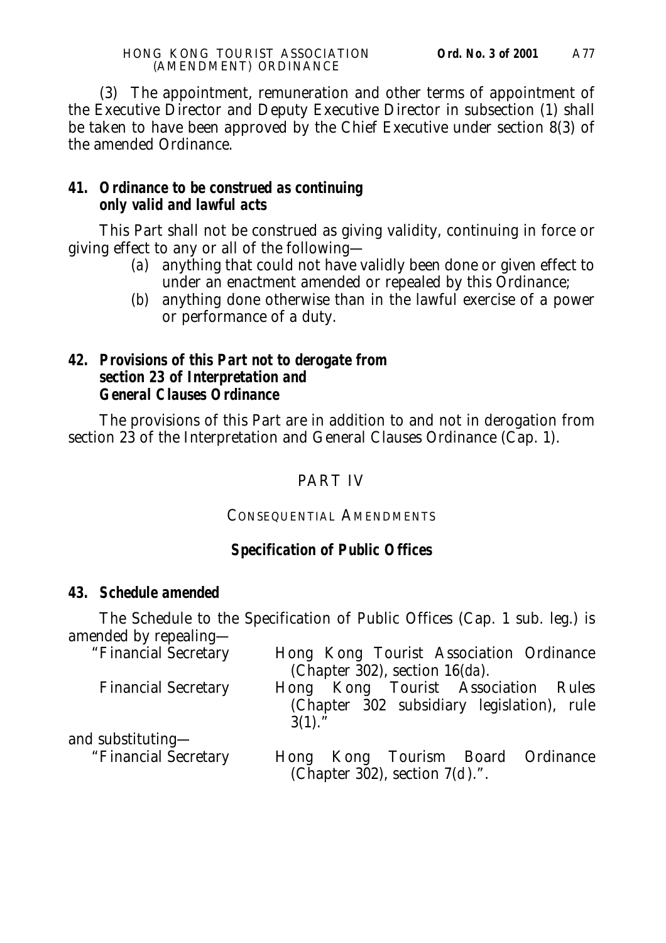(3) The appointment, remuneration and other terms of appointment of the Executive Director and Deputy Executive Director in subsection (1) shall be taken to have been approved by the Chief Executive under section 8(3) of the amended Ordinance.

## **41. Ordinance to be construed as continuing only valid and lawful acts**

This Part shall not be construed as giving validity, continuing in force or giving effect to any or all of the following—

- (*a*) anything that could not have validly been done or given effect to under an enactment amended or repealed by this Ordinance;
- (*b*) anything done otherwise than in the lawful exercise of a power or performance of a duty.

## **42. Provisions of this Part not to derogate from section 23 of Interpretation and General Clauses Ordinance**

The provisions of this Part are in addition to and not in derogation from section 23 of the Interpretation and General Clauses Ordinance (Cap. 1).

# PART IV

## CONSEQUENTIAL AMENDMENTS

# **Specification of Public Offices**

## **43. Schedule amended**

The Schedule to the Specification of Public Offices (Cap. 1 sub. leg.) is amended by repealing—

| "Financial Secretary       | Hong Kong Tourist Association Ordinance    |  |  |  |  |
|----------------------------|--------------------------------------------|--|--|--|--|
|                            | (Chapter 302), section $16(da)$ .          |  |  |  |  |
| <b>Financial Secretary</b> | Hong Kong Tourist Association Rules        |  |  |  |  |
|                            | (Chapter 302 subsidiary legislation), rule |  |  |  |  |
|                            | $3(1).$ "                                  |  |  |  |  |
| and substituting-          |                                            |  |  |  |  |
| "Financial Secretary       | Hong Kong Tourism Board Ordinance          |  |  |  |  |
|                            | (Chapter 302), section $7(d)$ .".          |  |  |  |  |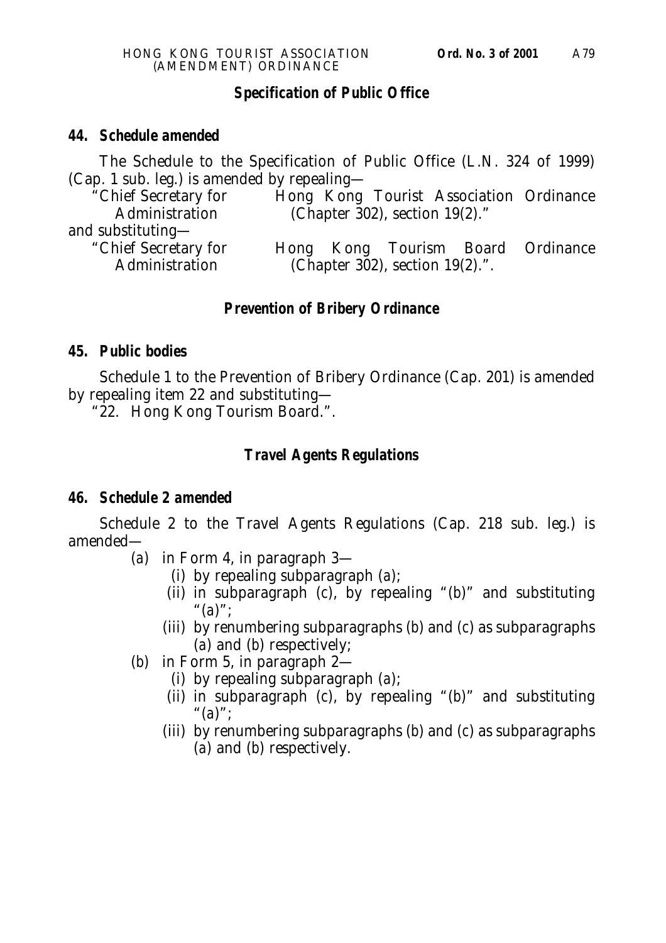#### **Specification of Public Office**

#### **44. Schedule amended**

The Schedule to the Specification of Public Office (L.N. 324 of 1999) (Cap. 1 sub. leg.) is amended by repealing—

| "Chief Secretary for |                                      |  |  | Hong Kong Tourist Association Ordinance |  |
|----------------------|--------------------------------------|--|--|-----------------------------------------|--|
| Administration       | (Chapter $302$ ), section $19(2)$ ." |  |  |                                         |  |
| and substituting—    |                                      |  |  |                                         |  |
| "Chief Secretary for |                                      |  |  | Hong Kong Tourism Board Ordinance       |  |
| Administration       |                                      |  |  | (Chapter 302), section $19(2)$ .".      |  |
|                      |                                      |  |  |                                         |  |

#### **Prevention of Bribery Ordinance**

#### **45. Public bodies**

Schedule 1 to the Prevention of Bribery Ordinance (Cap. 201) is amended by repealing item 22 and substituting—

"22. Hong Kong Tourism Board.".

#### **Travel Agents Regulations**

#### **46. Schedule 2 amended**

Schedule 2 to the Travel Agents Regulations (Cap. 218 sub. leg.) is amended—

- (*a*) in Form 4, in paragraph 3—
	- (i) by repealing subparagraph (*a*);
	- (ii) in subparagraph (*c*), by repealing "(*b*)" and substituting "(*a*)";
	- (iii) by renumbering subparagraphs (*b*) and (*c*) as subparagraphs (*a*) and (*b*) respectively;
- (*b*) in Form 5, in paragraph 2—
	- (i) by repealing subparagraph (*a*);
	- (ii) in subparagraph (*c*), by repealing "(*b*)" and substituting "(*a*)";
	- (iii) by renumbering subparagraphs (*b*) and (*c*) as subparagraphs (*a*) and (*b*) respectively.